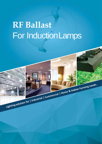# **RF Ballast** For InductionLamps

Lighting solution for | Industrial | Commercial | Home & Indoor Farming needs.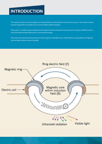## **INTRODUCTION**

The inductionlamp isthe technology for you if good efficiency and long lifeis of your prime concern. The inductionlamps have the longest life of any light source commercially available nowadays.

The product is a Radio Frequency Ballast for driving Electrode-less Induction Lamps of power rating up to 400W based on microcontrollerandhigh efficiencyRF conversiontechnology.

Electrode-lessInductionlampsare known for theirlong life (>100,000 Hours),High Efficiency comparabletoLED lighting and Cool lightemission close to Day-light

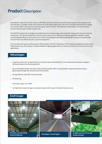## **Product** Description

The ballastis made of four parts. Firstis an EMI filterto reduce harmonicsfromthe inputsupply of alternatingcurrent. The next part is a bridge rectifier;this convertsAC to DC power. AGerthat isthe PFC circuitwhich booststhe DC voltage to a constant 400 V value and increases the power factor to 0.95+. The final part of the ballast is an inverter which convertstheDC powerto high frequency AC.

The MOSFETsusedin the H-bridgeare of high frequency /lowlosstype and transferRF energy to the lamp via a Ferrite transformer. This ferrite transformer, with its unique construction, offerstotal shielding against RF radiation - while maintaininghigh efficiency and smaller form-factor.Anyheatgeneratedwhilehandlinghigh RF power istransferredto the aluminumcase efficientlywith a specialarrangement.

The unit offers the features of Remote On-Off (via switch / RS-485 / Bluetooth / Wi-Fi), Automatic Brightness Control and Safety Monitoring. This product is ideally suitable for lighting applications in Industrial, Commercial, Home and Farming applications.

### **Advantages**

- Long life, as there are no electrodes in an induction lamp. Electrodes fail in normal fluorescent lamps as tungsten thins and brakes, thus shortening its life.
- By not having electrodes, the tube can be perfectly sealed. When seals go badly in regular fluorescent lamps, gasescapesthroughthe weaknessand the lamp fails.
- Energyefficient,oGen 80+ lumens per watt
- No flickering
- Dimmable range is 30 -100%.
- Can light both small and large areas depending on which type of induction lamp one uses

#### **EndUsage**